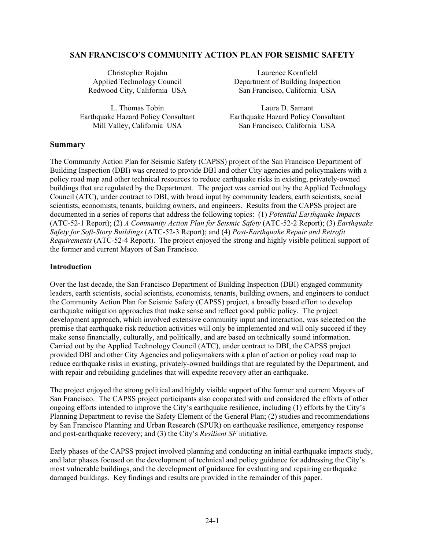# **SAN FRANCISCO'S COMMUNITY ACTION PLAN FOR SEISMIC SAFETY**

L. Thomas Tobin Laura D. Samant

 Christopher Rojahn Laurence Kornfield Applied Technology Council Department of Building Inspection Redwood City, California USA San Francisco, California USA

 Earthquake Hazard Policy Consultant Earthquake Hazard Policy Consultant Mill Valley, California USA San Francisco, California USA

### **Summary**

The Community Action Plan for Seismic Safety (CAPSS) project of the San Francisco Department of Building Inspection (DBI) was created to provide DBI and other City agencies and policymakers with a policy road map and other technical resources to reduce earthquake risks in existing, privately-owned buildings that are regulated by the Department. The project was carried out by the Applied Technology Council (ATC), under contract to DBI, with broad input by community leaders, earth scientists, social scientists, economists, tenants, building owners, and engineers. Results from the CAPSS project are documented in a series of reports that address the following topics: (1) *Potential Earthquake Impacts* (ATC-52-1 Report); (2) *A Community Action Plan for Seismic Safety* (ATC-52-2 Report); (3) *Earthquake Safety for Soft-Story Buildings* (ATC-52-3 Report); and (4) *Post-Earthquake Repair and Retrofit Requirements* (ATC-52-4 Report). The project enjoyed the strong and highly visible political support of the former and current Mayors of San Francisco.

### **Introduction**

Over the last decade, the San Francisco Department of Building Inspection (DBI) engaged community leaders, earth scientists, social scientists, economists, tenants, building owners, and engineers to conduct the Community Action Plan for Seismic Safety (CAPSS) project, a broadly based effort to develop earthquake mitigation approaches that make sense and reflect good public policy. The project development approach, which involved extensive community input and interaction, was selected on the premise that earthquake risk reduction activities will only be implemented and will only succeed if they make sense financially, culturally, and politically, and are based on technically sound information. Carried out by the Applied Technology Council (ATC), under contract to DBI, the CAPSS project provided DBI and other City Agencies and policymakers with a plan of action or policy road map to reduce earthquake risks in existing, privately-owned buildings that are regulated by the Department, and with repair and rebuilding guidelines that will expedite recovery after an earthquake.

The project enjoyed the strong political and highly visible support of the former and current Mayors of San Francisco. The CAPSS project participants also cooperated with and considered the efforts of other ongoing efforts intended to improve the City's earthquake resilience, including (1) efforts by the City's Planning Department to revise the Safety Element of the General Plan; (2) studies and recommendations by San Francisco Planning and Urban Research (SPUR) on earthquake resilience, emergency response and post-earthquake recovery; and (3) the City's *Resilient SF* initiative.

Early phases of the CAPSS project involved planning and conducting an initial earthquake impacts study, and later phases focused on the development of technical and policy guidance for addressing the City's most vulnerable buildings, and the development of guidance for evaluating and repairing earthquake damaged buildings. Key findings and results are provided in the remainder of this paper.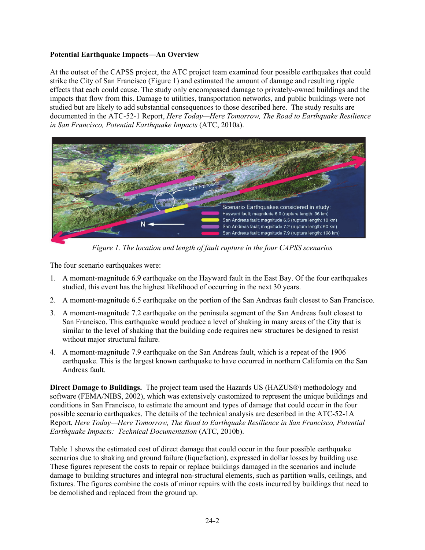# **Potential Earthquake Impacts—An Overview**

At the outset of the CAPSS project, the ATC project team examined four possible earthquakes that could strike the City of San Francisco (Figure 1) and estimated the amount of damage and resulting ripple effects that each could cause. The study only encompassed damage to privately-owned buildings and the impacts that flow from this. Damage to utilities, transportation networks, and public buildings were not studied but are likely to add substantial consequences to those described here. The study results are documented in the ATC-52-1 Report, *Here Today—Here Tomorrow, The Road to Earthquake Resilience in San Francisco, Potential Earthquake Impacts* (ATC, 2010a).



*Figure 1. The location and length of fault rupture in the four CAPSS scenarios*

The four scenario earthquakes were:

- 1. A moment-magnitude 6.9 earthquake on the Hayward fault in the East Bay. Of the four earthquakes studied, this event has the highest likelihood of occurring in the next 30 years.
- 2. A moment-magnitude 6.5 earthquake on the portion of the San Andreas fault closest to San Francisco.
- 3. A moment-magnitude 7.2 earthquake on the peninsula segment of the San Andreas fault closest to San Francisco. This earthquake would produce a level of shaking in many areas of the City that is similar to the level of shaking that the building code requires new structures be designed to resist without major structural failure.
- 4. A moment-magnitude 7.9 earthquake on the San Andreas fault, which is a repeat of the 1906 earthquake. This is the largest known earthquake to have occurred in northern California on the San Andreas fault.

**Direct Damage to Buildings.** The project team used the Hazards US (HAZUS®) methodology and software (FEMA/NIBS, 2002), which was extensively customized to represent the unique buildings and conditions in San Francisco, to estimate the amount and types of damage that could occur in the four possible scenario earthquakes. The details of the technical analysis are described in the ATC-52-1A Report, *Here Today—Here Tomorrow, The Road to Earthquake Resilience in San Francisco, Potential Earthquake Impacts: Technical Documentation* (ATC, 2010b).

Table 1 shows the estimated cost of direct damage that could occur in the four possible earthquake scenarios due to shaking and ground failure (liquefaction), expressed in dollar losses by building use. These figures represent the costs to repair or replace buildings damaged in the scenarios and include damage to building structures and integral non-structural elements, such as partition walls, ceilings, and fixtures. The figures combine the costs of minor repairs with the costs incurred by buildings that need to be demolished and replaced from the ground up.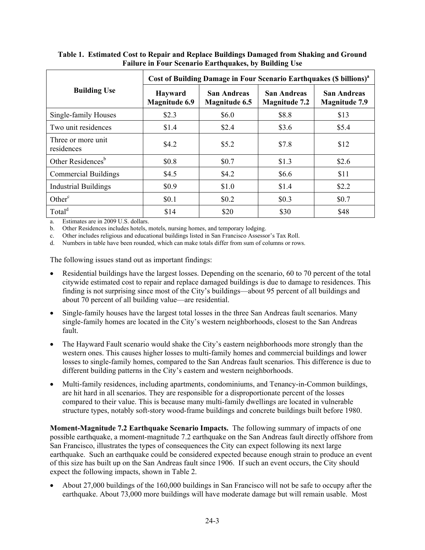|                                  | Cost of Building Damage in Four Scenario Earthquakes (\$ billions) <sup>a</sup> |                                     |                                     |                                     |  |
|----------------------------------|---------------------------------------------------------------------------------|-------------------------------------|-------------------------------------|-------------------------------------|--|
| <b>Building Use</b>              | <b>Hayward</b><br><b>Magnitude 6.9</b>                                          | San Andreas<br><b>Magnitude 6.5</b> | San Andreas<br><b>Magnitude 7.2</b> | San Andreas<br><b>Magnitude 7.9</b> |  |
| Single-family Houses             | \$2.3                                                                           | \$6.0                               | \$8.8                               | \$13                                |  |
| Two unit residences              | \$1.4                                                                           | \$2.4                               | \$3.6                               | \$5.4                               |  |
| Three or more unit<br>residences | \$4.2                                                                           | \$5.2\$                             | \$7.8                               | \$12                                |  |
| Other Residences <sup>b</sup>    | \$0.8                                                                           | \$0.7                               | \$1.3                               | \$2.6                               |  |
| <b>Commercial Buildings</b>      | \$4.5                                                                           | \$4.2                               | \$6.6                               | \$11                                |  |
| <b>Industrial Buildings</b>      | \$0.9                                                                           | \$1.0                               | \$1.4                               | \$2.2                               |  |
| Other <sup>c</sup>               | \$0.1                                                                           | \$0.2\$                             | \$0.3                               | \$0.7                               |  |
| Total <sup>d</sup>               | \$14                                                                            | \$20                                | \$30                                | \$48                                |  |

# **Table 1. Estimated Cost to Repair and Replace Buildings Damaged from Shaking and Ground Failure in Four Scenario Earthquakes, by Building Use**

a. Estimates are in 2009 U.S. dollars.

b. Other Residences includes hotels, motels, nursing homes, and temporary lodging.

c. Other includes religious and educational buildings listed in San Francisco Assessor's Tax Roll.

d. Numbers in table have been rounded, which can make totals differ from sum of columns or rows.

The following issues stand out as important findings:

- Residential buildings have the largest losses. Depending on the scenario, 60 to 70 percent of the total citywide estimated cost to repair and replace damaged buildings is due to damage to residences. This finding is not surprising since most of the City's buildings—about 95 percent of all buildings and about 70 percent of all building value—are residential.
- Single-family houses have the largest total losses in the three San Andreas fault scenarios. Many single-family homes are located in the City's western neighborhoods, closest to the San Andreas fault.
- The Hayward Fault scenario would shake the City's eastern neighborhoods more strongly than the western ones. This causes higher losses to multi-family homes and commercial buildings and lower losses to single-family homes, compared to the San Andreas fault scenarios. This difference is due to different building patterns in the City's eastern and western neighborhoods.
- Multi-family residences, including apartments, condominiums, and Tenancy-in-Common buildings, are hit hard in all scenarios. They are responsible for a disproportionate percent of the losses compared to their value. This is because many multi-family dwellings are located in vulnerable structure types, notably soft-story wood-frame buildings and concrete buildings built before 1980.

**Moment-Magnitude 7.2 Earthquake Scenario Impacts.** The following summary of impacts of one possible earthquake, a moment-magnitude 7.2 earthquake on the San Andreas fault directly offshore from San Francisco, illustrates the types of consequences the City can expect following its next large earthquake. Such an earthquake could be considered expected because enough strain to produce an event of this size has built up on the San Andreas fault since 1906. If such an event occurs, the City should expect the following impacts, shown in Table 2.

 About 27,000 buildings of the 160,000 buildings in San Francisco will not be safe to occupy after the earthquake. About 73,000 more buildings will have moderate damage but will remain usable. Most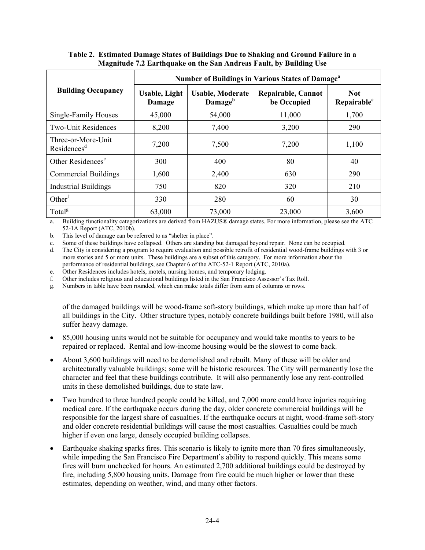|                                               | Number of Buildings in Various States of Damage <sup>a</sup> |                                                |                                          |                                       |  |  |
|-----------------------------------------------|--------------------------------------------------------------|------------------------------------------------|------------------------------------------|---------------------------------------|--|--|
| <b>Building Occupancy</b>                     | <b>Usable, Light</b><br>Damage                               | <b>Usable, Moderate</b><br>Damage <sup>b</sup> | <b>Repairable, Cannot</b><br>be Occupied | <b>Not</b><br>Repairable <sup>c</sup> |  |  |
| Single-Family Houses                          | 45,000                                                       | 54,000                                         | 11,000                                   | 1,700                                 |  |  |
| <b>Two-Unit Residences</b>                    | 8,200                                                        | 7,400                                          | 3,200                                    | 290                                   |  |  |
| Three-or-More-Unit<br>Residences <sup>d</sup> | 7,200                                                        | 7,500                                          | 7,200                                    | 1,100                                 |  |  |
| Other Residences <sup>e</sup>                 | 300                                                          | 400                                            | 80                                       | 40                                    |  |  |
| <b>Commercial Buildings</b>                   | 1,600                                                        | 2,400                                          | 630                                      | 290                                   |  |  |
| <b>Industrial Buildings</b>                   | 750                                                          | 820                                            | 320                                      | 210                                   |  |  |
| Other <sup><math>f</math></sup>               | 330                                                          | 280                                            | 60                                       | 30                                    |  |  |
| Total <sup>g</sup>                            | 63,000                                                       | 73,000                                         | 23,000                                   | 3,600                                 |  |  |

# **Table 2. Estimated Damage States of Buildings Due to Shaking and Ground Failure in a Magnitude 7.2 Earthquake on the San Andreas Fault, by Building Use**

a. Building functionality categorizations are derived from HAZUS® damage states. For more information, please see the ATC 52-1A Report (ATC, 2010b).

b. This level of damage can be referred to as "shelter in place".

c. Some of these buildings have collapsed. Others are standing but damaged beyond repair. None can be occupied.

d. The City is considering a program to require evaluation and possible retrofit of residential wood-frame buildings with 3 or more stories and 5 or more units. These buildings are a subset of this category. For more information about the performance of residential buildings, see Chapter 6 of the ATC-52-1 Report (ATC, 2010a).

e. Other Residences includes hotels, motels, nursing homes, and temporary lodging.

f. Other includes religious and educational buildings listed in the San Francisco Assessor's Tax Roll.

g. Numbers in table have been rounded, which can make totals differ from sum of columns or rows.

of the damaged buildings will be wood-frame soft-story buildings, which make up more than half of all buildings in the City. Other structure types, notably concrete buildings built before 1980, will also suffer heavy damage.

- 85,000 housing units would not be suitable for occupancy and would take months to years to be repaired or replaced. Rental and low-income housing would be the slowest to come back.
- About 3,600 buildings will need to be demolished and rebuilt. Many of these will be older and architecturally valuable buildings; some will be historic resources. The City will permanently lose the character and feel that these buildings contribute. It will also permanently lose any rent-controlled units in these demolished buildings, due to state law.
- Two hundred to three hundred people could be killed, and 7,000 more could have injuries requiring medical care. If the earthquake occurs during the day, older concrete commercial buildings will be responsible for the largest share of casualties. If the earthquake occurs at night, wood-frame soft-story and older concrete residential buildings will cause the most casualties. Casualties could be much higher if even one large, densely occupied building collapses.
- Earthquake shaking sparks fires. This scenario is likely to ignite more than 70 fires simultaneously, while impeding the San Francisco Fire Department's ability to respond quickly. This means some fires will burn unchecked for hours. An estimated 2,700 additional buildings could be destroyed by fire, including 5,800 housing units. Damage from fire could be much higher or lower than these estimates, depending on weather, wind, and many other factors.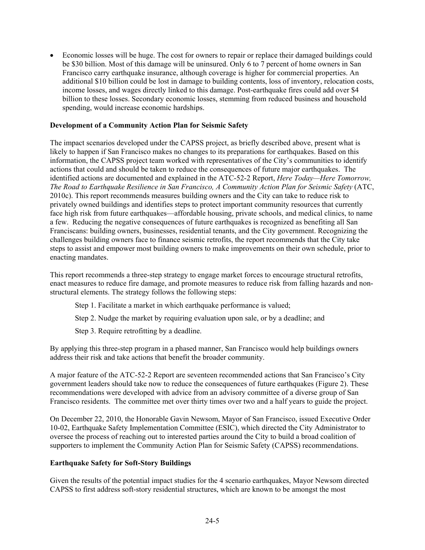Economic losses will be huge. The cost for owners to repair or replace their damaged buildings could be \$30 billion. Most of this damage will be uninsured. Only 6 to 7 percent of home owners in San Francisco carry earthquake insurance, although coverage is higher for commercial properties. An additional \$10 billion could be lost in damage to building contents, loss of inventory, relocation costs, income losses, and wages directly linked to this damage. Post-earthquake fires could add over \$4 billion to these losses. Secondary economic losses, stemming from reduced business and household spending, would increase economic hardships.

### **Development of a Community Action Plan for Seismic Safety**

The impact scenarios developed under the CAPSS project, as briefly described above, present what is likely to happen if San Francisco makes no changes to its preparations for earthquakes. Based on this information, the CAPSS project team worked with representatives of the City's communities to identify actions that could and should be taken to reduce the consequences of future major earthquakes. The identified actions are documented and explained in the ATC-52-2 Report, *Here Today—Here Tomorrow, The Road to Earthquake Resilience in San Francisco, A Community Action Plan for Seismic Safety* (ATC, 2010c). This report recommends measures building owners and the City can take to reduce risk to privately owned buildings and identifies steps to protect important community resources that currently face high risk from future earthquakes—affordable housing, private schools, and medical clinics, to name a few. Reducing the negative consequences of future earthquakes is recognized as benefiting all San Franciscans: building owners, businesses, residential tenants, and the City government. Recognizing the challenges building owners face to finance seismic retrofits, the report recommends that the City take steps to assist and empower most building owners to make improvements on their own schedule, prior to enacting mandates.

This report recommends a three-step strategy to engage market forces to encourage structural retrofits, enact measures to reduce fire damage, and promote measures to reduce risk from falling hazards and nonstructural elements. The strategy follows the following steps:

- Step 1. Facilitate a market in which earthquake performance is valued;
- Step 2. Nudge the market by requiring evaluation upon sale, or by a deadline; and
- Step 3. Require retrofitting by a deadline.

By applying this three-step program in a phased manner, San Francisco would help buildings owners address their risk and take actions that benefit the broader community.

A major feature of the ATC-52-2 Report are seventeen recommended actions that San Francisco's City government leaders should take now to reduce the consequences of future earthquakes (Figure 2). These recommendations were developed with advice from an advisory committee of a diverse group of San Francisco residents. The committee met over thirty times over two and a half years to guide the project.

On December 22, 2010, the Honorable Gavin Newsom, Mayor of San Francisco, issued Executive Order 10-02, Earthquake Safety Implementation Committee (ESIC), which directed the City Administrator to oversee the process of reaching out to interested parties around the City to build a broad coalition of supporters to implement the Community Action Plan for Seismic Safety (CAPSS) recommendations.

### **Earthquake Safety for Soft-Story Buildings**

Given the results of the potential impact studies for the 4 scenario earthquakes, Mayor Newsom directed CAPSS to first address soft-story residential structures, which are known to be amongst the most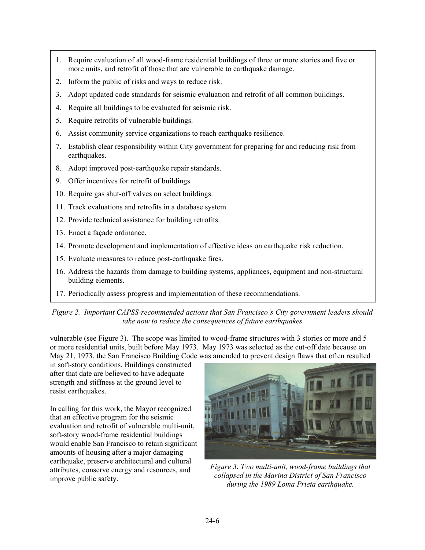- 1. Require evaluation of all wood-frame residential buildings of three or more stories and five or more units, and retrofit of those that are vulnerable to earthquake damage.
- 2. Inform the public of risks and ways to reduce risk.
- 3. Adopt updated code standards for seismic evaluation and retrofit of all common buildings.
- 4. Require all buildings to be evaluated for seismic risk.
- 5. Require retrofits of vulnerable buildings.
- 6. Assist community service organizations to reach earthquake resilience.
- 7. Establish clear responsibility within City government for preparing for and reducing risk from earthquakes.
- 8. Adopt improved post-earthquake repair standards.
- 9. Offer incentives for retrofit of buildings.
- 10. Require gas shut-off valves on select buildings.
- 11. Track evaluations and retrofits in a database system.
- 12. Provide technical assistance for building retrofits.
- 13. Enact a façade ordinance.
- 14. Promote development and implementation of effective ideas on earthquake risk reduction.
- 15. Evaluate measures to reduce post-earthquake fires.
- 16. Address the hazards from damage to building systems, appliances, equipment and non-structural building elements.
- 17. Periodically assess progress and implementation of these recommendations.

# *Figure 2. Important CAPSS-recommended actions that San Francisco's City government leaders should take now to reduce the consequences of future earthquakes*

vulnerable (see Figure 3). The scope was limited to wood-frame structures with 3 stories or more and 5 or more residential units, built before May 1973. May 1973 was selected as the cut-off date because on May 21, 1973, the San Francisco Building Code was amended to prevent design flaws that often resulted

in soft-story conditions. Buildings constructed after that date are believed to have adequate strength and stiffness at the ground level to resist earthquakes.

In calling for this work, the Mayor recognized that an effective program for the seismic evaluation and retrofit of vulnerable multi-unit, soft-story wood-frame residential buildings would enable San Francisco to retain significant amounts of housing after a major damaging earthquake, preserve architectural and cultural attributes, conserve energy and resources, and improve public safety.



*Figure 3. Two multi-unit, wood-frame buildings that collapsed in the Marina District of San Francisco during the 1989 Loma Prieta earthquake.*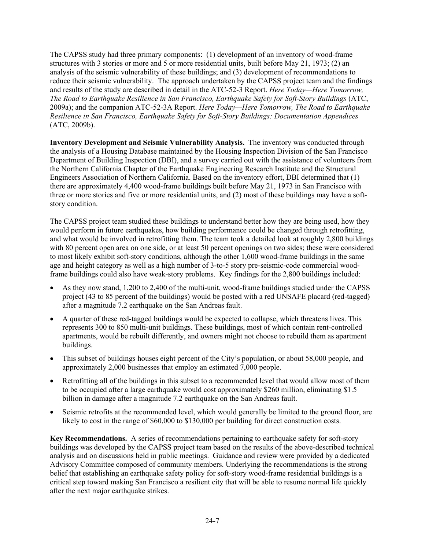The CAPSS study had three primary components: (1) development of an inventory of wood-frame structures with 3 stories or more and 5 or more residential units, built before May 21, 1973; (2) an analysis of the seismic vulnerability of these buildings; and (3) development of recommendations to reduce their seismic vulnerability. The approach undertaken by the CAPSS project team and the findings and results of the study are described in detail in the ATC-52-3 Report. *Here Today—Here Tomorrow, The Road to Earthquake Resilience in San Francisco, Earthquake Safety for Soft-Story Buildings* (ATC, 2009a); and the companion ATC-52-3A Report. *Here Today—Here Tomorrow, The Road to Earthquake Resilience in San Francisco, Earthquake Safety for Soft-Story Buildings: Documentation Appendices* (ATC, 2009b).

**Inventory Development and Seismic Vulnerability Analysis.** The inventory was conducted through the analysis of a Housing Database maintained by the Housing Inspection Division of the San Francisco Department of Building Inspection (DBI), and a survey carried out with the assistance of volunteers from the Northern California Chapter of the Earthquake Engineering Research Institute and the Structural Engineers Association of Northern California. Based on the inventory effort, DBI determined that (1) there are approximately 4,400 wood-frame buildings built before May 21, 1973 in San Francisco with three or more stories and five or more residential units, and (2) most of these buildings may have a softstory condition.

The CAPSS project team studied these buildings to understand better how they are being used, how they would perform in future earthquakes, how building performance could be changed through retrofitting, and what would be involved in retrofitting them. The team took a detailed look at roughly 2,800 buildings with 80 percent open area on one side, or at least 50 percent openings on two sides; these were considered to most likely exhibit soft-story conditions, although the other 1,600 wood-frame buildings in the same age and height category as well as a high number of 3-to-5 story pre-seismic-code commercial woodframe buildings could also have weak-story problems. Key findings for the 2,800 buildings included:

- As they now stand, 1,200 to 2,400 of the multi-unit, wood-frame buildings studied under the CAPSS project (43 to 85 percent of the buildings) would be posted with a red UNSAFE placard (red-tagged) after a magnitude 7.2 earthquake on the San Andreas fault.
- A quarter of these red-tagged buildings would be expected to collapse, which threatens lives. This represents 300 to 850 multi-unit buildings. These buildings, most of which contain rent-controlled apartments, would be rebuilt differently, and owners might not choose to rebuild them as apartment buildings.
- This subset of buildings houses eight percent of the City's population, or about 58,000 people, and approximately 2,000 businesses that employ an estimated 7,000 people.
- Retrofitting all of the buildings in this subset to a recommended level that would allow most of them to be occupied after a large earthquake would cost approximately \$260 million, eliminating \$1.5 billion in damage after a magnitude 7.2 earthquake on the San Andreas fault.
- Seismic retrofits at the recommended level, which would generally be limited to the ground floor, are likely to cost in the range of \$60,000 to \$130,000 per building for direct construction costs.

**Key Recommendations.** A series of recommendations pertaining to earthquake safety for soft-story buildings was developed by the CAPSS project team based on the results of the above-described technical analysis and on discussions held in public meetings. Guidance and review were provided by a dedicated Advisory Committee composed of community members. Underlying the recommendations is the strong belief that establishing an earthquake safety policy for soft-story wood-frame residential buildings is a critical step toward making San Francisco a resilient city that will be able to resume normal life quickly after the next major earthquake strikes.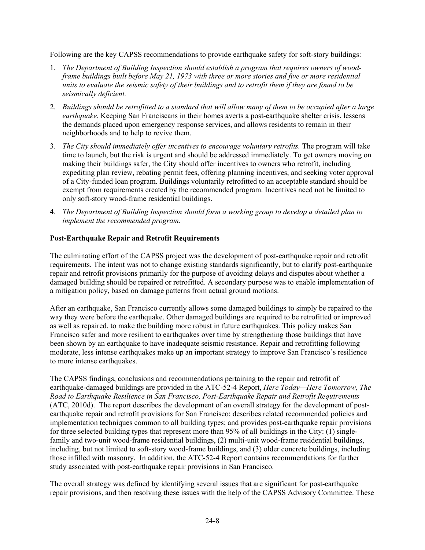Following are the key CAPSS recommendations to provide earthquake safety for soft-story buildings:

- 1. *The Department of Building Inspection should establish a program that requires owners of woodframe buildings built before May 21, 1973 with three or more stories and five or more residential units to evaluate the seismic safety of their buildings and to retrofit them if they are found to be seismically deficient.*
- 2. *Buildings should be retrofitted to a standard that will allow many of them to be occupied after a large earthquake*. Keeping San Franciscans in their homes averts a post-earthquake shelter crisis, lessens the demands placed upon emergency response services, and allows residents to remain in their neighborhoods and to help to revive them.
- 3. *The City should immediately offer incentives to encourage voluntary retrofits.* The program will take time to launch, but the risk is urgent and should be addressed immediately. To get owners moving on making their buildings safer, the City should offer incentives to owners who retrofit, including expediting plan review, rebating permit fees, offering planning incentives, and seeking voter approval of a City-funded loan program. Buildings voluntarily retrofitted to an acceptable standard should be exempt from requirements created by the recommended program. Incentives need not be limited to only soft-story wood-frame residential buildings.
- 4. *The Department of Building Inspection should form a working group to develop a detailed plan to implement the recommended program.*

# **Post-Earthquake Repair and Retrofit Requirements**

The culminating effort of the CAPSS project was the development of post-earthquake repair and retrofit requirements. The intent was not to change existing standards significantly, but to clarify post-earthquake repair and retrofit provisions primarily for the purpose of avoiding delays and disputes about whether a damaged building should be repaired or retrofitted. A secondary purpose was to enable implementation of a mitigation policy, based on damage patterns from actual ground motions.

After an earthquake, San Francisco currently allows some damaged buildings to simply be repaired to the way they were before the earthquake. Other damaged buildings are required to be retrofitted or improved as well as repaired, to make the building more robust in future earthquakes. This policy makes San Francisco safer and more resilient to earthquakes over time by strengthening those buildings that have been shown by an earthquake to have inadequate seismic resistance. Repair and retrofitting following moderate, less intense earthquakes make up an important strategy to improve San Francisco's resilience to more intense earthquakes.

The CAPSS findings, conclusions and recommendations pertaining to the repair and retrofit of earthquake-damaged buildings are provided in the ATC-52-4 Report, *Here Today—Here Tomorrow, The Road to Earthquake Resilience in San Francisco, Post-Earthquake Repair and Retrofit Requirements* (ATC, 2010d). The report describes the development of an overall strategy for the development of postearthquake repair and retrofit provisions for San Francisco; describes related recommended policies and implementation techniques common to all building types; and provides post-earthquake repair provisions for three selected building types that represent more than 95% of all buildings in the City: (1) singlefamily and two-unit wood-frame residential buildings, (2) multi-unit wood-frame residential buildings, including, but not limited to soft-story wood-frame buildings, and (3) older concrete buildings, including those infilled with masonry. In addition, the ATC-52-4 Report contains recommendations for further study associated with post-earthquake repair provisions in San Francisco.

The overall strategy was defined by identifying several issues that are significant for post-earthquake repair provisions, and then resolving these issues with the help of the CAPSS Advisory Committee. These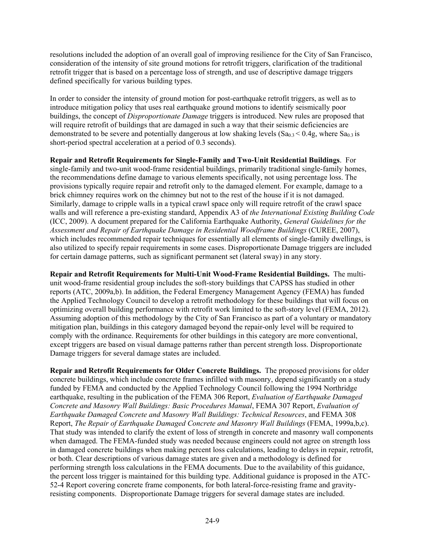resolutions included the adoption of an overall goal of improving resilience for the City of San Francisco, consideration of the intensity of site ground motions for retrofit triggers, clarification of the traditional retrofit trigger that is based on a percentage loss of strength, and use of descriptive damage triggers defined specifically for various building types.

In order to consider the intensity of ground motion for post-earthquake retrofit triggers, as well as to introduce mitigation policy that uses real earthquake ground motions to identify seismically poor buildings, the concept of *Disproportionate Damage* triggers is introduced. New rules are proposed that will require retrofit of buildings that are damaged in such a way that their seismic deficiencies are demonstrated to be severe and potentially dangerous at low shaking levels  $(Sa<sub>0.3</sub> < 0.4g$ , where  $Sa<sub>0.3</sub>$  is short-period spectral acceleration at a period of 0.3 seconds).

**Repair and Retrofit Requirements for Single-Family and Two-Unit Residential Buildings**. For single-family and two-unit wood-frame residential buildings, primarily traditional single-family homes, the recommendations define damage to various elements specifically, not using percentage loss. The provisions typically require repair and retrofit only to the damaged element. For example, damage to a brick chimney requires work on the chimney but not to the rest of the house if it is not damaged. Similarly, damage to cripple walls in a typical crawl space only will require retrofit of the crawl space walls and will reference a pre-existing standard, Appendix A3 of *the International Existing Building Code* (ICC, 2009). A document prepared for the California Earthquake Authority, *General Guidelines for the Assessment and Repair of Earthquake Damage in Residential Woodframe Buildings* (CUREE, 2007), which includes recommended repair techniques for essentially all elements of single-family dwellings, is also utilized to specify repair requirements in some cases. Disproportionate Damage triggers are included for certain damage patterns, such as significant permanent set (lateral sway) in any story.

**Repair and Retrofit Requirements for Multi-Unit Wood-Frame Residential Buildings.** The multiunit wood-frame residential group includes the soft-story buildings that CAPSS has studied in other reports (ATC, 2009a,b). In addition, the Federal Emergency Management Agency (FEMA) has funded the Applied Technology Council to develop a retrofit methodology for these buildings that will focus on optimizing overall building performance with retrofit work limited to the soft-story level (FEMA, 2012). Assuming adoption of this methodology by the City of San Francisco as part of a voluntary or mandatory mitigation plan, buildings in this category damaged beyond the repair-only level will be required to comply with the ordinance. Requirements for other buildings in this category are more conventional, except triggers are based on visual damage patterns rather than percent strength loss. Disproportionate Damage triggers for several damage states are included.

**Repair and Retrofit Requirements for Older Concrete Buildings.** The proposed provisions for older concrete buildings, which include concrete frames infilled with masonry, depend significantly on a study funded by FEMA and conducted by the Applied Technology Council following the 1994 Northridge earthquake, resulting in the publication of the FEMA 306 Report, *Evaluation of Earthquake Damaged Concrete and Masonry Wall Buildings: Basic Procedures Manual*, FEMA 307 Report, *Evaluation of Earthquake Damaged Concrete and Masonry Wall Buildings: Technical Resources*, and FEMA 308 Report, *The Repair of Earthquake Damaged Concrete and Masonry Wall Buildings* (FEMA, 1999a,b,c). That study was intended to clarify the extent of loss of strength in concrete and masonry wall components when damaged. The FEMA-funded study was needed because engineers could not agree on strength loss in damaged concrete buildings when making percent loss calculations, leading to delays in repair, retrofit, or both. Clear descriptions of various damage states are given and a methodology is defined for performing strength loss calculations in the FEMA documents. Due to the availability of this guidance, the percent loss trigger is maintained for this building type. Additional guidance is proposed in the ATC-52-4 Report covering concrete frame components, for both lateral-force-resisting frame and gravityresisting components. Disproportionate Damage triggers for several damage states are included.